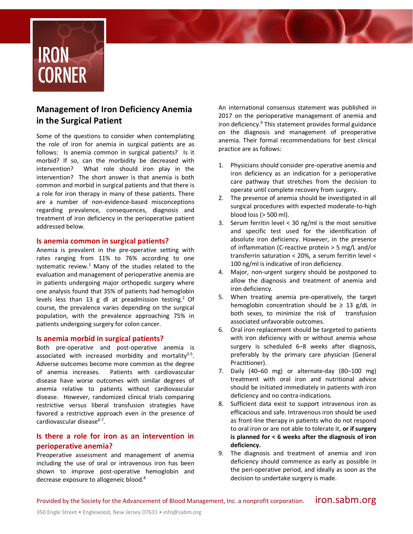

# **Management of Iron Deficiency Anemia in the Surgical Patient**

Some of the questions to consider when contemplating the role of iron for anemia in surgical patients are as follows: Is anemia common in surgical patients? Is it morbid? If so, can the morbidity be decreased with intervention? What role should iron play in the intervention? The short answer is that anemia is both common and morbid in surgical patients and that there is a role for iron therapy in many of these patients. There are a number of non-evidence-based misconceptions regarding prevalence, consequences, diagnosis and treatment of iron deficiency in the perioperative patient addressed below.

# **Is anemia common in surgical patients?**

Anemia is prevalent in the pre-operative setting with rates ranging from 11% to 76% according to one systematic review. $1$  Many of the studies related to the evaluation and management of perioperative anemia are in patients undergoing major orthopedic surgery where one analysis found that 35% of patients had hemoglobin levels less than 13 g dl at preadmission testing.<sup>2</sup> Of course, the prevalence varies depending on the surgical population, with the prevalence approaching 75% in patients undergoing surgery for colon cancer.

# **Is anemia morbid in surgical patients?**

Both pre-operative and post-operative anemia is associated with increased morbidity and mortality $3-5$ . Adverse outcomes become more common as the degree of anemia increases. Patients with cardiovascular disease have worse outcomes with similar degrees of anemia relative to patients without cardiovascular disease. However, randomized clinical trials comparing restrictive versus liberal transfusion strategies have favored a restrictive approach even in the presence of cardiovascular disease<sup>6-7</sup>.

# **Is there a role for iron as an intervention in perioperative anemia?**

Preoperative assessment and management of anemia including the use of oral or intravenous iron has been shown to improve post-operative hemoglobin and decrease exposure to allogeneic blood.8

An international consensus statement was published in 2017 on the perioperative management of anemia and iron deficiency.<sup>9</sup> This statement provides formal guidance on the diagnosis and management of preoperative anemia. Their formal recommendations for best clinical practice are as follows:

- 1. Physicians should consider pre-operative anemia and iron deficiency as an indication for a perioperative care pathway that stretches from the decision to operate until complete recovery from surgery.
- 2. The presence of anemia should be investigated in all surgical procedures with expected moderate-to-high blood loss (> 500 ml).
- 3. Serum ferritin level < 30 ng/ml is the most sensitive and specific test used for the identification of absolute iron deficiency. However, in the presence of inflammation (C-reactive protein > 5 mg/L and/or transferrin saturation < 20%, a serum ferritin level < 100 ng/ml is indicative of iron deficiency.
- 4. Major, non-urgent surgery should be postponed to allow the diagnosis and treatment of anemia and iron deficiency.
- 5. When treating anemia pre-operatively, the target hemoglobin concentration should be  $\geq$  13 g/dL in both sexes, to minimize the risk of transfusion associated unfavorable outcomes.
- 6. Oral iron replacement should be targeted to patients with iron deficiency with or without anemia whose surgery is scheduled 6–8 weeks after diagnosis, preferably by the primary care physician (General Practitioner).
- 7. Daily (40–60 mg) or alternate-day (80–100 mg) treatment with oral iron and nutritional advice should be initiated immediately in patients with iron deficiency and no contra-indications.
- 8. Sufficient data exist to support intravenous iron as efficacious and safe. Intravenous iron should be used as front-line therapy in patients who do not respond to oral iron or are not able to tolerate it, **or if surgery is planned for < 6 weeks after the diagnosis of iron deficiency.**
- 9. The diagnosis and treatment of anemia and iron deficiency should commence as early as possible in the peri-operative period, and ideally as soon as the decision to undertake surgery is made.

Provided by the Society for the Advancement of Blood Management, Inc. a nonprofit corporation. **iron.sabm.org**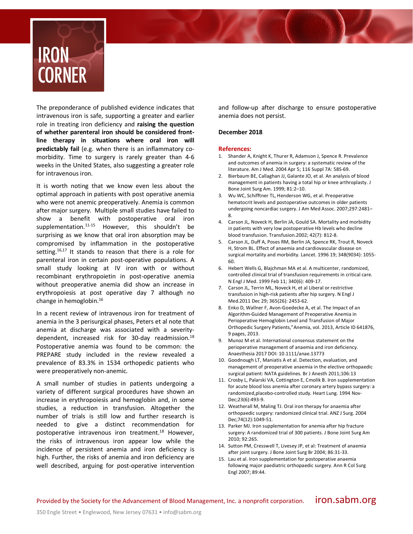

The preponderance of published evidence indicates that intravenous iron is safe, supporting a greater and earlier role in treating iron deficiency and **raising the question of whether parenteral iron should be considered frontline therapy in situations where oral iron will predictably fail** (e.g. when there is an inflammatory comorbidity. Time to surgery is rarely greater than 4-6 weeks in the United States, also suggesting a greater role for intravenous iron.

It is worth noting that we know even less about the optimal approach in patients with post operative anemia who were not anemic preoperatively. Anemia is common after major surgery. Multiple small studies have failed to show a benefit with postoperative oral iron supplementation. $11-15$  However, this shouldn't be surprising as we know that oral iron absorption may be compromised by inflammation in the postoperative setting.<sup>16,17</sup> It stands to reason that there is a role for parenteral iron in certain post-operative populations. A small study looking at IV iron with or without recombinant erythropoietin in post-operative anemia without preoperative anemia did show an increase in erythropoiesis at post operative day 7 although no change in hemoglobin.16

In a recent review of intravenous iron for treatment of anemia in the 3 perisurgical phases, Peters et al note that anemia at discharge was associated with a severitydependent, increased risk for 30-day readmission.<sup>18</sup> Postoperative anemia was found to be common: the PREPARE study included in the review revealed a prevalence of 83.3% in 1534 orthopedic patients who were preoperatively non-anemic.

A small number of studies in patients undergoing a variety of different surgical procedures have shown an increase in erythropoiesis and hemoglobin and, in some studies, a reduction in transfusion. Altogether the number of trials is still low and further research is needed to give a distinct recommendation for postoperative intravenous iron treatment.<sup>18</sup> However, the risks of intravenous iron appear low while the incidence of persistent anemia and iron deficiency is high. Further, the risks of anemia and iron deficiency are well described, arguing for post-operative intervention and follow-up after discharge to ensure postoperative anemia does not persist.

### **December 2018**

#### **References:**

- 1. Shander A, Knight K, Thurer R, Adamson J, Spence R. Prevalence and outcomes of anemia in surgery: a systematic review of the literature. Am J Med. 2004 Apr 5; 116 Suppl 7A: 58S-69.
- 2. Bierbaum BE, Callaghan JJ, Galante JO, et al. An analysis of blood management in patients having a total hip or knee arthroplasty. J Bone Joint Surg Am. 1999; 81:2–10.
- 3. Wu WC, Schifftner TL, Henderson WG, et al. Preoperative hematocrit levels and postoperative outcomes in older patients undergoing noncardiac surgery. J Am Med Assoc. 2007;297:2481– 8.
- 4. Carson JL, Noveck H, Berlin JA, Gould SA. Mortality and morbidity in patients with very low postoperative Hb levels who decline blood transfusion. Transfusion.2002; 42(7): 812-8.
- 5. Carson JL, Duff A, Poses RM, Berlin JA, Spence RK, Trout R, Noveck H, Strom BL. Effect of anaemia and cardiovascular disease on surgical mortality and morbidity. Lancet. 1996 19; 348(9034): 1055- 60.
- 6. Hebert Wells G, Blajchman MA et al. A multicenter, randomized, controlled clinical trial of transfusion requirements in critical care. N Engl J Med. 1999 Feb 11; 340(6): 409-17.
- 7. Carson JL, Terrin ML, Noveck H, et al Liberal or restrictive transfusion in high-risk patients after hip surgery. N Engl J Med.2011 Dec 29; 365(26): 2453-62.
- 8. Enko D, Wallner F, Avon-Goedecke A, et al. The Impact of an Algorithm-Guided Management of Preoperative Anemia in Perioperative Hemoglobin Level and Transfusion of Major Orthopedic Surgery Patients,"Anemia, vol. 2013, Article ID 641876, 9 pages, 2013.
- 9. Munoz M et al. International consensus statement on the perioperative management of anaemia and iron deficiency. Anaesthesia 2017 DOI: 10.1111/anae.13773
- 10. Goodnough LT, Maniatis A et al. Detection, evaluation, and management of preoperative anaemia in the elective orthopaedic surgical patient: NATA guidelines. Br J Anesth 2011;106:13
- 11. Crosby L, Palarski VA, Cottington E, Cmolik B. Iron supplementation for acute blood loss anemia after coronary artery bypass surgery: a randomized,placebo-controlled study. Heart Lung. 1994 Nov-Dec;23(6):493-9.
- 12. Weatherall M, Maling TJ. Oral iron therapy for anaemia after orthopaedic surgery: randomized clinical trial. ANZ J Surg. 2004 Dec;74(12):1049-51.
- 13. Parker MJ. Iron supplementation for anemia after hip fracture surgery: A randomized trial of 300 patients. J Bone Joint Surg Am 2010; 92:265.
- 14. Sutton PM, Cresswell T, Livesey JP, et al: Treatment of anaemia after joint surgery. J Bone Joint Surg Br 2004; 86:31-33.
- 15. Lau et al. Iron supplementation for postoperative anaemia following major paediatric orthopaedic surgery. Ann R Col Surg Engl 2007; 89:44.

Provided by the Society for the Advancement of Blood Management, Inc. a nonprofit corporation.  $i$  if On.Sabm.org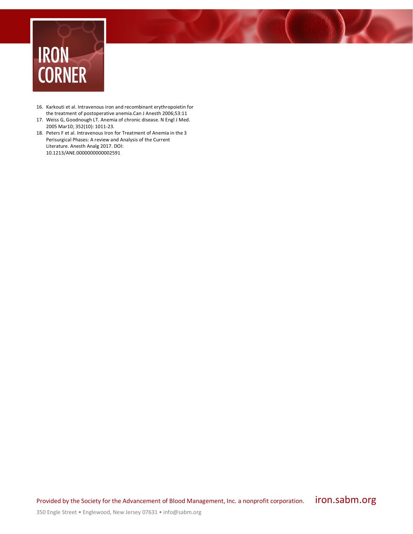

- 16. Karkouti et al. Intravenous iron and recombinant erythropoietin for the treatment of postoperative anemia.Can J Anesth 2006;53:11
- 17. Weiss G, Goodnough LT. Anemia of chronic disease. N Engl J Med. 2005 Mar10; 352(10): 1011-23.
- 18. Peters F et al. Intravenous Iron for Treatment of Anemia in the 3 Perisurgical Phases: A review and Analysis of the Current Literature. Anesth Analg 2017. DOI: 10.1213/ANE.0000000000002591